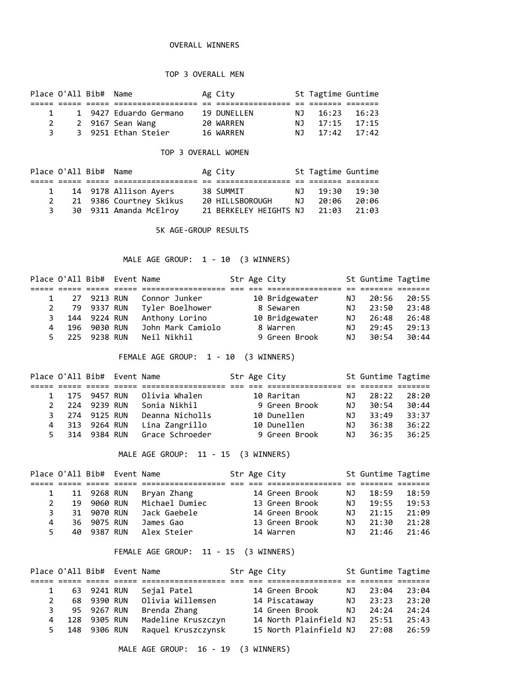## OVERALL WINNERS

## TOP 3 OVERALL MEN

|   | Place O'All Bib# Name |                        | Ag City     |      | St Tagtime Guntime |  |
|---|-----------------------|------------------------|-------------|------|--------------------|--|
|   |                       |                        |             |      |                    |  |
|   | $\mathbf{1}$          | 1 9427 Eduardo Germano | 19 DUNELLEN | N T  | $16:23$ $16:23$    |  |
| 2 |                       | 2 9167 Sean Wang       | 20 WARREN   |      | NJ 17:15 17:15     |  |
| 3 |                       | 3 9251 Ethan Steier    | 16 WARREN   | ר וח | $17:42$ $17:42$    |  |

## TOP 3 OVERALL WOMEN

|   | Place O'All Bib# Name |                         | Ag City                      |      | St Tagtime Guntime |       |
|---|-----------------------|-------------------------|------------------------------|------|--------------------|-------|
|   |                       |                         |                              |      |                    |       |
| 1 |                       | 14 9178 Allison Ayers   | 38 SUMMIT                    | NJ 1 | 19:30              | 19:30 |
| 2 |                       | 21 9386 Courtney Skikus | 20 HILLSBOROUGH NJ           |      | 20:06              | 20:06 |
| 3 |                       | 30 9311 Amanda McElroy  | 21 BERKELEY HEIGHTS NJ 21:03 |      |                    | 21:03 |

5K AGE-GROUP RESULTS

MALE AGE GROUP: 1 - 10 (3 WINNERS)

|    |     | Place O'All Bib# Event Name |                   |  | Str Age City   |    | St Guntime Tagtime |       |  |
|----|-----|-----------------------------|-------------------|--|----------------|----|--------------------|-------|--|
|    |     |                             |                   |  |                |    |                    |       |  |
|    |     | 27 9213 RUN                 | Connor Junker     |  | 10 Bridgewater | ΝJ | 20:56              | 20:55 |  |
|    |     | 79 9337 RUN                 | Tyler Boelhower   |  | 8 Sewaren      | ΝJ | 23:50              | 23:48 |  |
| 3  |     | 144 9224 RUN                | Anthony Lorino    |  | 10 Bridgewater | ΝJ | 26:48              | 26:48 |  |
| 4  | 196 | 9030 RUN                    | John Mark Camiolo |  | 8 Warren       | ΝJ | 29:45              | 29:13 |  |
| 5. |     | 225 9238 RUN                | Neil Nikhil       |  | 9 Green Brook  | NJ | 30:54              | 30:44 |  |
|    |     |                             |                   |  |                |    |                    |       |  |

FEMALE AGE GROUP: 1 - 10 (3 WINNERS)

|               |     | Place O'All Bib# Event Name |                 |  | Str Age City  |    | St Guntime Tagtime |       |
|---------------|-----|-----------------------------|-----------------|--|---------------|----|--------------------|-------|
|               |     |                             |                 |  |               |    |                    |       |
| $1 \quad$     |     | 175 9457 RUN                | Olivia Whalen   |  | 10 Raritan    | NJ | 28:22              | 28:20 |
| $\mathcal{P}$ | 224 | 9239 RUN                    | Sonia Nikhil    |  | 9 Green Brook | NJ | 30:54              | 30:44 |
|               | 3   | 274 9125 RUN                | Deanna Nicholls |  | 10 Dunellen   | NJ | 33:49              | 33:37 |
| 4             |     | 313 9264 RUN                | Lina Zangrillo  |  | 10 Dunellen   | NJ | 36:38              | 36:22 |
| 5.            | 314 | 9384 RUN                    | Grace Schroeder |  | 9 Green Brook | NJ | 36:35              | 36:25 |

MALE AGE GROUP: 11 - 15 (3 WINNERS)

|    |    | Place O'All Bib# Event Name |                |  | Str Age City   |     | St Guntime Tagtime |       |
|----|----|-----------------------------|----------------|--|----------------|-----|--------------------|-------|
|    |    |                             |                |  |                |     |                    |       |
|    |    | 11 9268 RUN                 | Bryan Zhang    |  | 14 Green Brook | NJ  | 18:59              | 18:59 |
|    | 19 | 9060 RUN                    | Michael Dumiec |  | 13 Green Brook | NJ. | 19:55              | 19:53 |
| 3. |    | 31 9070 RUN                 | Jack Gaebele   |  | 14 Green Brook | NJ. | 21:15              | 21:09 |
| 4  |    | 36 9075 RUN                 | James Gao      |  | 13 Green Brook | NJ. | 21:30              | 21:28 |
| 5. | 40 | 9387 RUN                    | Alex Steier    |  | 14 Warren      | NJ  | 21:46              | 21:46 |

FEMALE AGE GROUP: 11 - 15 (3 WINNERS)

|   |    | Place O'All Bib# Event Name |                    |  | Str Age City           |     | St Guntime Tagtime |       |  |
|---|----|-----------------------------|--------------------|--|------------------------|-----|--------------------|-------|--|
|   |    |                             |                    |  |                        |     |                    |       |  |
|   |    | 63 9241 RUN                 | Sejal Patel        |  | 14 Green Brook         | NJ. | 23:04              | 23:04 |  |
|   |    | 68 9390 RUN                 | Olivia Willemsen   |  | 14 Piscataway          | NJ. | 23:23              | 23:20 |  |
|   | 3. | 95 9267 RUN                 | Brenda Zhang       |  | 14 Green Brook         | NJ. | 24:24              | 24:24 |  |
| 4 |    | 128 9305 RUN                | Madeline Kruszczyn |  | 14 North Plainfield NJ |     | 25:51              | 25:43 |  |
|   |    | 5 148 9306 RUN              | Raquel Kruszczynsk |  | 15 North Plainfield NJ |     | 27:08              | 26:59 |  |

MALE AGE GROUP: 16 - 19 (3 WINNERS)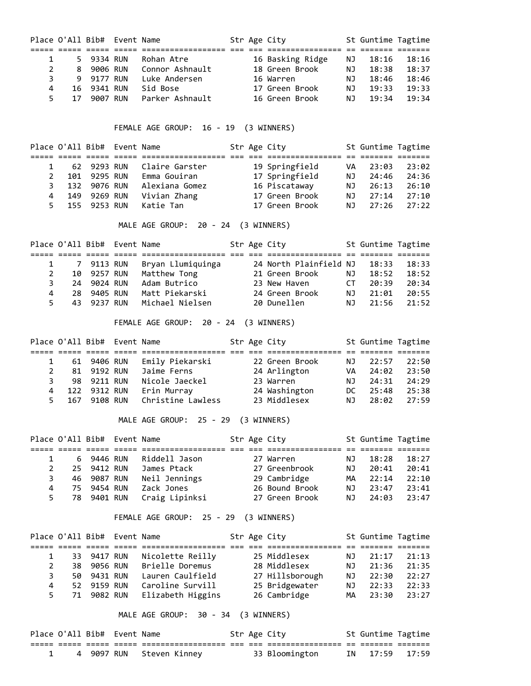| Place O'All Bib# Event Name |    |             |                 |  | Str Age City     |     | St Guntime Tagtime |       |
|-----------------------------|----|-------------|-----------------|--|------------------|-----|--------------------|-------|
|                             |    |             |                 |  |                  |     |                    |       |
|                             |    | 5 9334 RUN  | Rohan Atre      |  | 16 Basking Ridge | NJ. | 18:16              | 18:16 |
| $\mathbf{2}$                |    | 8 9006 RUN  | Connor Ashnault |  | 18 Green Brook   | NJ  | 18:38              | 18:37 |
|                             |    | 9 9177 RUN  | Luke Andersen   |  | 16 Warren        | ΝJ  | 18:46              | 18:46 |
| 4                           |    | 16 9341 RUN | Sid Bose        |  | 17 Green Brook   | ΝJ  | 19:33              | 19:33 |
|                             | 17 | 9007 RUN    | Parker Ashnault |  | 16 Green Brook   | NJ. | 19:34              | 19:34 |

FEMALE AGE GROUP: 16 - 19 (3 WINNERS)

|    |     | Place O'All Bib# Event Name |                |  | Str Age City   |    | St Guntime Tagtime |       |
|----|-----|-----------------------------|----------------|--|----------------|----|--------------------|-------|
|    |     |                             |                |  |                |    |                    |       |
|    |     | 62 9293 RUN                 | Claire Garster |  | 19 Springfield | VA | 23:03              | 23:02 |
|    |     | 101 9295 RUN                | Emma Gouiran   |  | 17 Springfield | ΝJ | 24:46              | 24:36 |
|    |     | 132 9076 RUN                | Alexiana Gomez |  | 16 Piscataway  | ΝJ | 26:13              | 26:10 |
| 4  | 149 | 9269 RUN                    | Vivian Zhang   |  | 17 Green Brook | ΝJ | 27:14              | 27:10 |
| 5. |     | 155 9253 RUN                | Katie Tan      |  | 17 Green Brook | NJ | 27:26              | 27:22 |

MALE AGE GROUP: 20 - 24 (3 WINNERS)

|    | Place O'All Bib# Event Name |             |                   |  | Str Age City           |     | St Guntime Tagtime |       |
|----|-----------------------------|-------------|-------------------|--|------------------------|-----|--------------------|-------|
|    |                             |             |                   |  |                        |     |                    |       |
|    |                             | 7 9113 RUN  | Bryan Llumiquinga |  | 24 North Plainfield NJ |     | 18:33              | 18:33 |
|    |                             | 10 9257 RUN | Matthew Tong      |  | 21 Green Brook         | NJ  | 18:52              | 18:52 |
| २  | 24                          | 9024 RUN    | Adam Butrico      |  | 23 New Haven           | CT. | 20:39              | 20:34 |
| 4  | 28.                         | 9405 RUN    | Matt Piekarski    |  | 24 Green Brook         | NJ. | 21:01              | 20:55 |
| 5. |                             | 43 9237 RUN | Michael Nielsen   |  | 20 Dunellen            | NJ. | 21:56              | 21:52 |

FEMALE AGE GROUP: 20 - 24 (3 WINNERS)

|                | Place O'All Bib# Event Name |              |                   |  | Str Age City   |     | St Guntime Tagtime |       |
|----------------|-----------------------------|--------------|-------------------|--|----------------|-----|--------------------|-------|
|                |                             |              |                   |  |                |     |                    |       |
|                |                             | 61 9406 RUN  | Emily Piekarski   |  | 22 Green Brook | NJ  | 22:57              | 22:50 |
|                |                             | 81 9192 RUN  | Jaime Ferns       |  | 24 Arlington   | VA  | 24:02              | 23:50 |
| 3.             |                             | 98 9211 RUN  | Nicole Jaeckel    |  | 23 Warren      | NJ. | 24:31              | 24:29 |
| $\overline{4}$ |                             | 122 9312 RUN | Erin Murray       |  | 24 Washington  | DC. | 25:48              | 25:38 |
| 5.             |                             | 167 9108 RUN | Christine Lawless |  | 23 Middlesex   | NJ. | 28:02              | 27:59 |

MALE AGE GROUP: 25 - 29 (3 WINNERS)

|    |    | Place O'All Bib# Event Name |                |  | Str Age City   |     | St Guntime Tagtime |       |
|----|----|-----------------------------|----------------|--|----------------|-----|--------------------|-------|
|    |    |                             |                |  |                |     |                    |       |
|    |    | 6 9446 RUN                  | Riddell Jason  |  | 27 Warren      | NJ  | 18:28              | 18:27 |
|    |    | 25 9412 RUN                 | James Ptack    |  | 27 Greenbrook  | ΝJ  | 20:41              | 20:41 |
| 3. | 46 | 9087 RUN                    | Neil Jennings  |  | 29 Cambridge   | MА  | 22:14              | 22:10 |
| 4  |    | 75 9454 RUN                 | Zack Jones     |  | 26 Bound Brook | NJ. | 23:47              | 23:41 |
| 5. |    | 78 9401 RUN                 | Craig Lipinksi |  | 27 Green Brook | NJ. | 24:03              | 23:47 |

FEMALE AGE GROUP: 25 - 29 (3 WINNERS)

|                |    | Place O'All Bib# Event Name |                   |  | Str Age City    |     | St Guntime Tagtime |       |
|----------------|----|-----------------------------|-------------------|--|-----------------|-----|--------------------|-------|
|                |    |                             |                   |  |                 |     |                    |       |
|                |    | 33 9417 RUN                 | Nicolette Reilly  |  | 25 Middlesex    | NJ. | 21:17              | 21:13 |
|                | 38 | 9056 RUN                    | Brielle Doremus   |  | 28 Middlesex    | ΝJ  | 21:36              | 21:35 |
|                |    | 50 9431 RUN                 | Lauren Caulfield  |  | 27 Hillsborough | ΝJ  | 22:30              | 22:27 |
| $\overline{4}$ |    | 52 9159 RUN                 | Caroline Survill  |  | 25 Bridgewater  | ΝJ  | 22:33              | 22:33 |
|                | 71 | 9082 RUN                    | Elizabeth Higgins |  | 26 Cambridge    | MА  | 23:30              | 23:27 |

MALE AGE GROUP: 30 - 34 (3 WINNERS)

| Place O'All Bib# Event Name |  |                          |  | Str Age City   | St Guntime Tagtime |                |
|-----------------------------|--|--------------------------|--|----------------|--------------------|----------------|
|                             |  |                          |  |                |                    |                |
|                             |  | 4 9097 RUN Steven Kinney |  | 33 Bloomington |                    | IN 17:59 17:59 |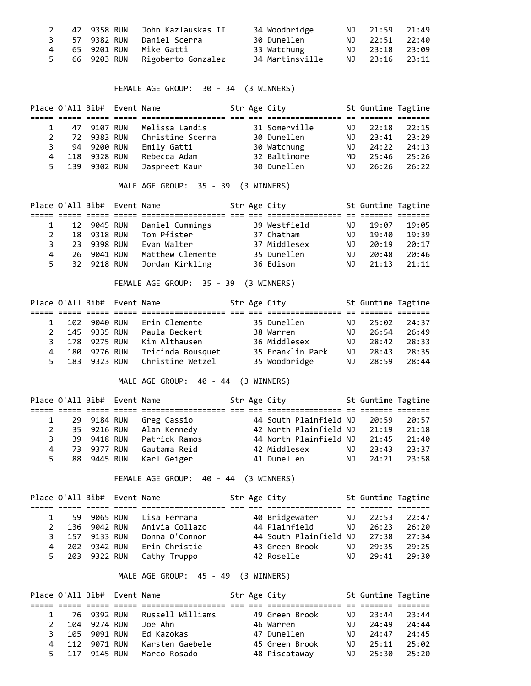|  |                                | 34 Woodbridge   | NJ 21:59 21:49 |  |
|--|--------------------------------|-----------------|----------------|--|
|  | 3 57 9382 RUN Daniel Scerra    | 30 Dunellen     | NJ 22:51 22:40 |  |
|  | 65 9201 RUN   Mike Gatti       | 33 Watchung     | NJ 23:18 23:09 |  |
|  | 66 9203 RUN Rigoberto Gonzalez | 34 Martinsville | NJ 23:16 23:11 |  |

FEMALE AGE GROUP: 30 - 34 (3 WINNERS)

|    |    | Place O'All Bib# Event Name |                  |  | Str Age City  |     | St Guntime Tagtime |       |
|----|----|-----------------------------|------------------|--|---------------|-----|--------------------|-------|
|    |    |                             |                  |  |               |     |                    |       |
|    |    | 47 9107 RUN                 | Melissa Landis   |  | 31 Somerville | NJ. | 22:18              | 22:15 |
|    | 72 | 9383 RUN                    | Christine Scerra |  | 30 Dunellen   | ΝJ  | 23:41              | 23:29 |
| 3. |    | 94 9200 RUN                 | Emily Gatti      |  | 30 Watchung   | NJ. | 24:22              | 24:13 |
| 4  |    | 118 9328 RUN                | Rebecca Adam     |  | 32 Baltimore  | MD. | 25:46              | 25:26 |
| 5. |    | 139 9302 RUN                | Jaspreet Kaur    |  | 30 Dunellen   | ΝJ  | 26:26              | 26:22 |

MALE AGE GROUP: 35 - 39 (3 WINNERS)

|    | Place O'All Bib# Event Name |             |                  |  | Str Age City |     | St Guntime Tagtime |       |
|----|-----------------------------|-------------|------------------|--|--------------|-----|--------------------|-------|
|    |                             |             |                  |  |              |     |                    |       |
|    | 12                          | 9045 RUN    | Daniel Cummings  |  | 39 Westfield | ΝJ  | 19:07              | 19:05 |
|    |                             | 18 9318 RUN | Tom Pfister      |  | 37 Chatham   | ΝJ  | 19:40              | 19:39 |
| 3. | 23.                         | 9398 RUN    | Evan Walter      |  | 37 Middlesex | ΝJ  | 20:19              | 20:17 |
| 4  | 26.                         | 9041 RUN    | Matthew Clemente |  | 35 Dunellen  | NJ. | 20:48              | 20:46 |
| 5. |                             | 32 9218 RUN | Jordan Kirkling  |  | 36 Edison    | ΝJ  | 21:13              | 21:11 |

FEMALE AGE GROUP: 35 - 39 (3 WINNERS)

|    | Place O'All Bib# Event Name |              |                   |  | Str Age City     |     | St Guntime Tagtime |       |  |
|----|-----------------------------|--------------|-------------------|--|------------------|-----|--------------------|-------|--|
|    |                             |              |                   |  |                  |     |                    |       |  |
|    |                             | 102 9040 RUN | Erin Clemente     |  | 35 Dunellen      | NJ. | 25:02              | 24:37 |  |
| 2  |                             | 145 9335 RUN | Paula Beckert     |  | 38 Warren        | NJ. | 26:54              | 26:49 |  |
| 3  |                             | 178 9275 RUN | Kim Althausen     |  | 36 Middlesex     | NJ. | 28:42              | 28:33 |  |
| 4  |                             | 180 9276 RUN | Tricinda Bousquet |  | 35 Franklin Park | NJ. | 28:43              | 28:35 |  |
| 5. |                             | 183 9323 RUN | Christine Wetzel  |  | 35 Woodbridge    | NJ. | 28:59              | 28:44 |  |

MALE AGE GROUP: 40 - 44 (3 WINNERS)

|                | Place O'All Bib# Event Name |               |  | Str Age City           |     | St Guntime Tagtime |       |
|----------------|-----------------------------|---------------|--|------------------------|-----|--------------------|-------|
|                |                             |               |  |                        |     |                    |       |
|                | 29 9184 RUN                 | Greg Cassio   |  | 44 South Plainfield NJ |     | 20:59              | 20:57 |
| $\mathbf{2}$   | 35 9216 RUN                 | Alan Kennedy  |  | 42 North Plainfield NJ |     | 21:19              | 21:18 |
| 3.             | 39 9418 RUN                 | Patrick Ramos |  | 44 North Plainfield NJ |     | 21:45              | 21:40 |
| $\overline{4}$ | 73 9377 RUN                 | Gautama Reid  |  | 42 Middlesex           | ΝJ  | 23:43              | 23:37 |
| 5.             | 88 9445 RUN                 | Karl Geiger   |  | 41 Dunellen            | NJ. | 24:21              | 23:58 |

FEMALE AGE GROUP: 40 - 44 (3 WINNERS)

|    |     | Place O'All Bib# Event Name |                |  | Str Age City           |     | St Guntime Tagtime |       |
|----|-----|-----------------------------|----------------|--|------------------------|-----|--------------------|-------|
|    |     |                             |                |  |                        |     |                    |       |
|    |     | 59 9065 RUN                 | Lisa Ferrara   |  | 40 Bridgewater         | NJ. | 22:53              | 22:47 |
|    | 136 | 9042 RUN                    | Anivia Collazo |  | 44 Plainfield          | ΝJ  | 26:23              | 26:20 |
| 3. |     | 157 9133 RUN                | Donna O'Connor |  | 44 South Plainfield NJ |     | 27:38              | 27:34 |
| 4  | 202 | 9342 RUN                    | Erin Christie  |  | 43 Green Brook         | NJ. | 29:35              | 29:25 |
| 5. |     | 203 9322 RUN                | Cathy Truppo   |  | 42 Roselle             | NJ. | 29:41              | 29:30 |

MALE AGE GROUP: 45 - 49 (3 WINNERS)

|               |     | Place O'All Bib# Event Name |                  |  | Str Age City   |     | St Guntime Tagtime |       |
|---------------|-----|-----------------------------|------------------|--|----------------|-----|--------------------|-------|
|               |     |                             |                  |  |                |     |                    |       |
|               |     | 76 9392 RUN                 | Russell Williams |  | 49 Green Brook | NJ. | 23:44              | 23:44 |
| $\mathcal{P}$ |     | 104 9274 RUN                | Joe Ahn          |  | 46 Warren      | NJ  | 24:49              | 24:44 |
| 3.            |     | 105 9091 RUN                | Ed Kazokas       |  | 47 Dunellen    | NJ. | 24:47              | 24:45 |
|               | 112 | 9071 RUN                    | Karsten Gaebele  |  | 45 Green Brook | NJ. | 25:11              | 25:02 |
|               |     | 117 9145 RUN                | Marco Rosado     |  | 48 Piscataway  | NJ. | 25:30              | 25:20 |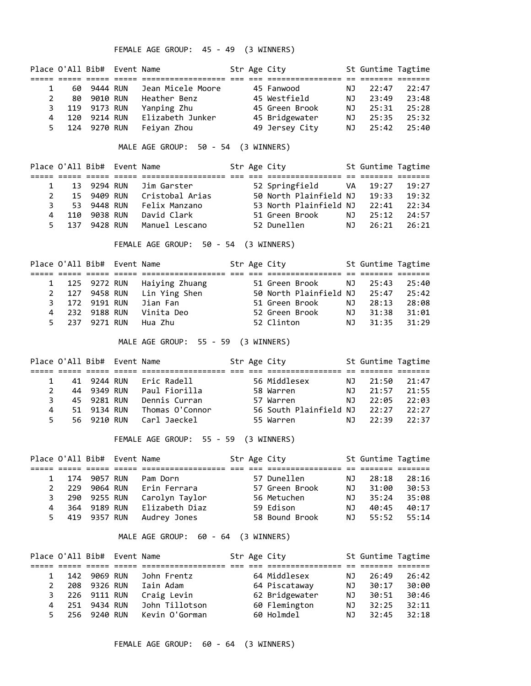FEMALE AGE GROUP: 45 - 49 (3 WINNERS)

|   |     | Place O'All Bib# Event Name |                   |  | Str Age City   |     | St Guntime Tagtime |       |
|---|-----|-----------------------------|-------------------|--|----------------|-----|--------------------|-------|
|   |     |                             |                   |  |                |     |                    |       |
|   | 60  | 9444 RUN                    | Jean Micele Moore |  | 45 Fanwood     | NJ  | 22:47              | 22:47 |
|   | 80. | 9010 RUN                    | Heather Benz      |  | 45 Westfield   | NJ. | 23:49              | 23:48 |
|   |     | 119 9173 RUN                | Yanping Zhu       |  | 45 Green Brook | NJ  | 25:31              | 25:28 |
| 4 | 120 | 9214 RUN                    | Elizabeth Junker  |  | 45 Bridgewater | ΝJ  | 25:35              | 25:32 |
|   | 5.  | 124 9270 RUN                | Feivan Zhou       |  | 49 Jersey City | NJ. | 25:42              | 25:40 |

MALE AGE GROUP: 50 - 54 (3 WINNERS)

|     | Place O'All Bib# Event Name |                 |  | Str Age City           |     | St Guntime Tagtime |       |
|-----|-----------------------------|-----------------|--|------------------------|-----|--------------------|-------|
|     |                             |                 |  |                        |     |                    |       |
|     | 13 9294 RUN                 | Jim Garster     |  | 52 Springfield VA      |     | 19:27              | 19:27 |
| 15  | 9409 RUN                    | Cristobal Arias |  | 50 North Plainfield NJ |     | 19:33              | 19:32 |
|     | 53 9448 RUN                 | Felix Manzano   |  | 53 North Plainfield NJ |     | 22:41              | 22:34 |
| 110 | 9038 RUN                    | David Clark     |  | 51 Green Brook         | ΝJ  | 25:12              | 24:57 |
| 137 | 9428 RUN                    | Manuel Lescano  |  | 52 Dunellen            | NJ. | 26:21              | 26:21 |

FEMALE AGE GROUP: 50 - 54 (3 WINNERS)

|   | Place O'All Bib# Event Name |                |  | Str Age City                 |     | St Guntime Tagtime |       |
|---|-----------------------------|----------------|--|------------------------------|-----|--------------------|-------|
|   |                             |                |  |                              |     |                    |       |
|   | 1 125 9272 RUN              | Haiying Zhuang |  | 51 Green Brook               | NJ  | 25:43              | 25:40 |
|   | 127 9458 RUN                | Lin Ying Shen  |  | 50 North Plainfield NJ 25:47 |     |                    | 25:42 |
|   | 3 172 9191 RUN              | Jian Fan       |  | 51 Green Brook               | NJ. | 28:13              | 28:08 |
| 4 | 232 9188 RUN                | Vinita Deo     |  | 52 Green Brook               | NJ  | 31:38              | 31:01 |
|   | 5 237 9271 RUN              | Hua Zhu        |  | 52 Clinton                   | NJ  | 31:35              | 31:29 |

MALE AGE GROUP: 55 - 59 (3 WINNERS)

|    | Place O'All Bib# Event Name |                 |  | Str Age City           |     | St Guntime Tagtime |       |  |
|----|-----------------------------|-----------------|--|------------------------|-----|--------------------|-------|--|
|    |                             |                 |  |                        |     |                    |       |  |
|    | 41 9244 RUN                 | Eric Radell     |  | 56 Middlesex           | NJ. | 21:50              | 21:47 |  |
|    | 44 9349 RUN                 | Paul Fiorilla   |  | 58 Warren              | NJ. | 21:57              | 21:55 |  |
| 3  | 45 9281 RUN                 | Dennis Curran   |  | 57 Warren              | NJ. | 22:05              | 22:03 |  |
| 4  | 51 9134 RUN                 | Thomas O'Connor |  | 56 South Plainfield NJ |     | 22:27              | 22:27 |  |
| 5. | 56 9210 RUN                 | Carl Jaeckel    |  | 55 Warren              | NJ. | 22:39              | 22:37 |  |

FEMALE AGE GROUP: 55 - 59 (3 WINNERS)

|    | Place O'All Bib# Event Name |              |                |  | Str Age City   |    | St Guntime Tagtime |       |
|----|-----------------------------|--------------|----------------|--|----------------|----|--------------------|-------|
|    |                             |              |                |  |                |    |                    |       |
|    | 174                         | 9057 RUN     | Pam Dorn       |  | 57 Dunellen    | ΝJ | 28:18              | 28:16 |
|    | 229                         | 9064 RUN     | Erin Ferrara   |  | 57 Green Brook | ΝJ | 31:00              | 30:53 |
|    |                             | 290 9255 RUN | Carolyn Taylor |  | 56 Metuchen    | NJ | 35:24              | 35:08 |
| 4  | 364                         | 9189 RUN     | Elizabeth Diaz |  | 59 Edison      | ΝJ | 40:45              | 40:17 |
| 5. |                             | 419 9357 RUN | Audrey Jones   |  | 58 Bound Brook | ΝJ | 55:52              | 55:14 |

MALE AGE GROUP: 60 - 64 (3 WINNERS)

|    |     | Place O'All Bib# Event Name |                |  | Str Age City   |    | St Guntime Tagtime |       |  |
|----|-----|-----------------------------|----------------|--|----------------|----|--------------------|-------|--|
|    |     |                             |                |  |                |    |                    |       |  |
|    |     | 142 9069 RUN                | John Frentz    |  | 64 Middlesex   | ΝJ | 26:49              | 26:42 |  |
|    | 208 | 9326 RUN                    | Iain Adam      |  | 64 Piscataway  | ΝJ | 30:17              | 30:00 |  |
| 3  |     | 226 9111 RUN                | Craig Levin    |  | 62 Bridgewater | ΝJ | 30:51              | 30:46 |  |
| 4  | 251 | 9434 RUN                    | John Tillotson |  | 60 Flemington  | ΝJ | 32:25              | 32:11 |  |
| 5. |     | 256 9240 RUN                | Kevin O'Gorman |  | 60 Holmdel     | ΝJ | 32:45              | 32:18 |  |